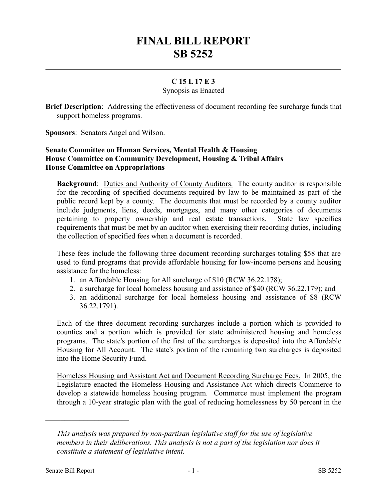# **FINAL BILL REPORT SB 5252**

## **C 15 L 17 E 3**

#### Synopsis as Enacted

**Brief Description**: Addressing the effectiveness of document recording fee surcharge funds that support homeless programs.

**Sponsors**: Senators Angel and Wilson.

### **Senate Committee on Human Services, Mental Health & Housing House Committee on Community Development, Housing & Tribal Affairs House Committee on Appropriations**

**Background:** Duties and Authority of County Auditors. The county auditor is responsible for the recording of specified documents required by law to be maintained as part of the public record kept by a county. The documents that must be recorded by a county auditor include judgments, liens, deeds, mortgages, and many other categories of documents pertaining to property ownership and real estate transactions. State law specifies requirements that must be met by an auditor when exercising their recording duties, including the collection of specified fees when a document is recorded.

These fees include the following three document recording surcharges totaling \$58 that are used to fund programs that provide affordable housing for low-income persons and housing assistance for the homeless:

- 1. an Affordable Housing for All surcharge of \$10 (RCW 36.22.178);
- 2. a surcharge for local homeless housing and assistance of \$40 (RCW 36.22.179); and
- 3. an additional surcharge for local homeless housing and assistance of \$8 (RCW 36.22.1791).

Each of the three document recording surcharges include a portion which is provided to counties and a portion which is provided for state administered housing and homeless programs. The state's portion of the first of the surcharges is deposited into the Affordable Housing for All Account. The state's portion of the remaining two surcharges is deposited into the Home Security Fund.

Homeless Housing and Assistant Act and Document Recording Surcharge Fees. In 2005, the Legislature enacted the Homeless Housing and Assistance Act which directs Commerce to develop a statewide homeless housing program. Commerce must implement the program through a 10-year strategic plan with the goal of reducing homelessness by 50 percent in the

––––––––––––––––––––––

*This analysis was prepared by non-partisan legislative staff for the use of legislative members in their deliberations. This analysis is not a part of the legislation nor does it constitute a statement of legislative intent.*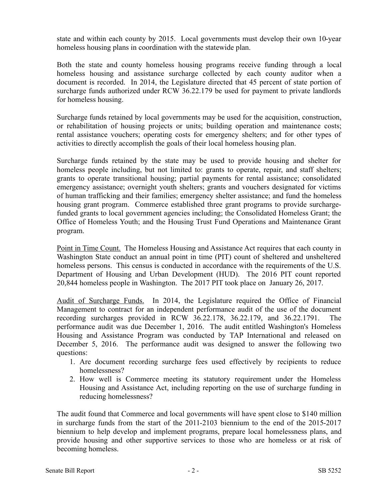state and within each county by 2015. Local governments must develop their own 10-year homeless housing plans in coordination with the statewide plan.

Both the state and county homeless housing programs receive funding through a local homeless housing and assistance surcharge collected by each county auditor when a document is recorded. In 2014, the Legislature directed that 45 percent of state portion of surcharge funds authorized under RCW 36.22.179 be used for payment to private landlords for homeless housing.

Surcharge funds retained by local governments may be used for the acquisition, construction, or rehabilitation of housing projects or units; building operation and maintenance costs; rental assistance vouchers; operating costs for emergency shelters; and for other types of activities to directly accomplish the goals of their local homeless housing plan.

Surcharge funds retained by the state may be used to provide housing and shelter for homeless people including, but not limited to: grants to operate, repair, and staff shelters; grants to operate transitional housing; partial payments for rental assistance; consolidated emergency assistance; overnight youth shelters; grants and vouchers designated for victims of human trafficking and their families; emergency shelter assistance; and fund the homeless housing grant program. Commerce established three grant programs to provide surchargefunded grants to local government agencies including; the Consolidated Homeless Grant; the Office of Homeless Youth; and the Housing Trust Fund Operations and Maintenance Grant program.

Point in Time Count. The Homeless Housing and Assistance Act requires that each county in Washington State conduct an annual point in time (PIT) count of sheltered and unsheltered homeless persons. This census is conducted in accordance with the requirements of the U.S. Department of Housing and Urban Development (HUD). The 2016 PIT count reported 20,844 homeless people in Washington. The 2017 PIT took place on January 26, 2017.

Audit of Surcharge Funds. In 2014, the Legislature required the Office of Financial Management to contract for an independent performance audit of the use of the document recording surcharges provided in RCW 36.22.178, 36.22.179, and 36.22.1791. The performance audit was due December 1, 2016. The audit entitled Washington's Homeless Housing and Assistance Program was conducted by TAP International and released on December 5, 2016. The performance audit was designed to answer the following two questions:

- 1. Are document recording surcharge fees used effectively by recipients to reduce homelessness?
- 2. How well is Commerce meeting its statutory requirement under the Homeless Housing and Assistance Act, including reporting on the use of surcharge funding in reducing homelessness?

The audit found that Commerce and local governments will have spent close to \$140 million in surcharge funds from the start of the 2011-2103 biennium to the end of the 2015-2017 biennium to help develop and implement programs, prepare local homelessness plans, and provide housing and other supportive services to those who are homeless or at risk of becoming homeless.